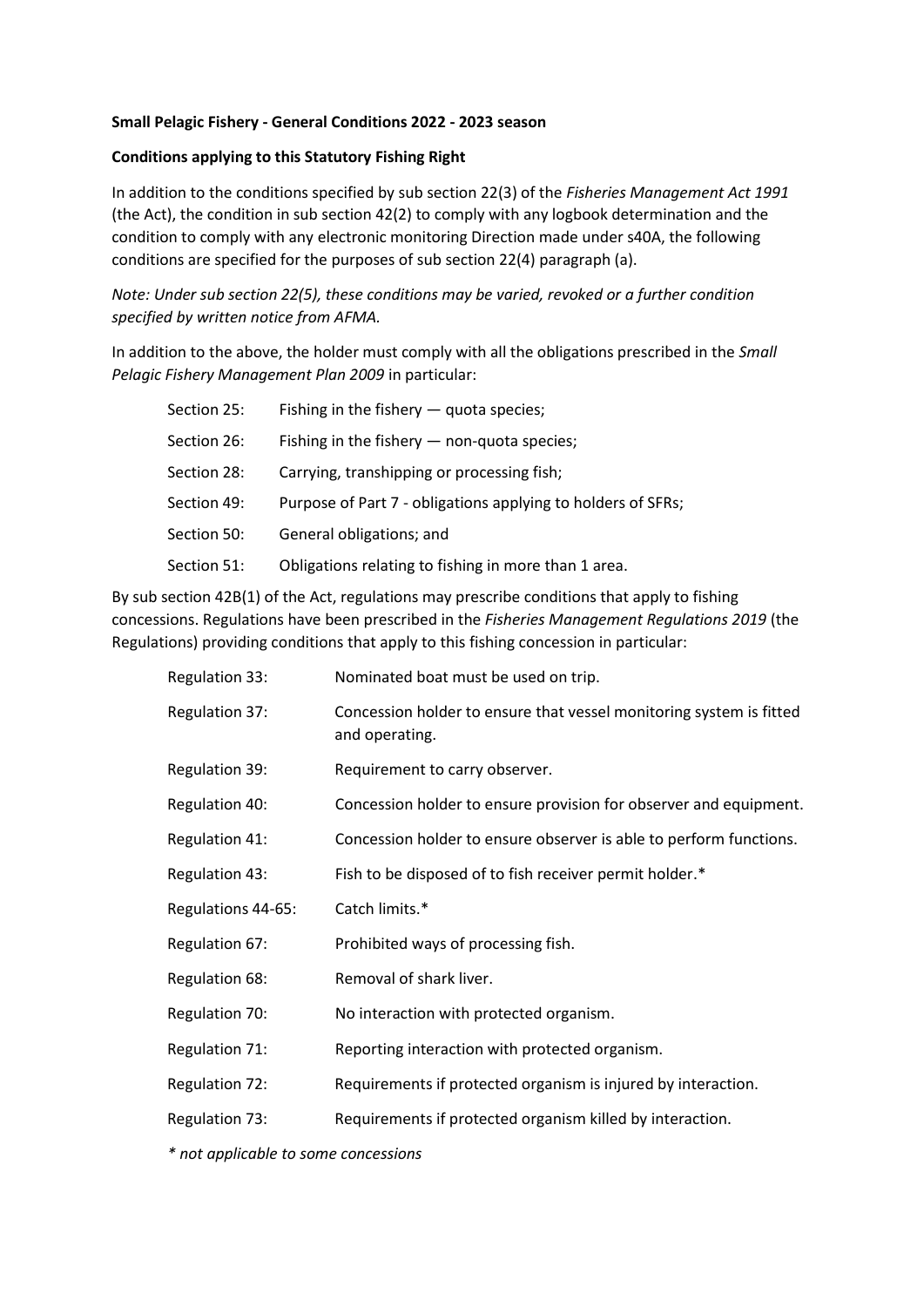## **Small Pelagic Fishery - General Conditions 2022 - 2023 season**

## **Conditions applying to this Statutory Fishing Right**

In addition to the conditions specified by sub section 22(3) of the *Fisheries Management Act 1991* (the Act), the condition in sub section 42(2) to comply with any logbook determination and the condition to comply with any electronic monitoring Direction made under s40A, the following conditions are specified for the purposes of sub section 22(4) paragraph (a).

*Note: Under sub section 22(5), these conditions may be varied, revoked or a further condition specified by written notice from AFMA.*

In addition to the above, the holder must comply with all the obligations prescribed in the *Small Pelagic Fishery Management Plan 2009* in particular:

| Section 25: | Fishing in the fishery $-$ quota species;                    |
|-------------|--------------------------------------------------------------|
| Section 26: | Fishing in the fishery $-$ non-quota species;                |
| Section 28: | Carrying, transhipping or processing fish;                   |
| Section 49: | Purpose of Part 7 - obligations applying to holders of SFRs; |
| Section 50: | General obligations; and                                     |
| Section 51: | Obligations relating to fishing in more than 1 area.         |
|             |                                                              |

By sub section 42B(1) of the Act, regulations may prescribe conditions that apply to fishing concessions. Regulations have been prescribed in the *Fisheries Management Regulations 2019* (the Regulations) providing conditions that apply to this fishing concession in particular:

| Regulation 33:        | Nominated boat must be used on trip.                                                  |
|-----------------------|---------------------------------------------------------------------------------------|
| <b>Regulation 37:</b> | Concession holder to ensure that vessel monitoring system is fitted<br>and operating. |
| Regulation 39:        | Requirement to carry observer.                                                        |
| Regulation 40:        | Concession holder to ensure provision for observer and equipment.                     |
| Regulation 41:        | Concession holder to ensure observer is able to perform functions.                    |
| Regulation 43:        | Fish to be disposed of to fish receiver permit holder.*                               |
| Regulations 44-65:    | Catch limits.*                                                                        |
| Regulation 67:        | Prohibited ways of processing fish.                                                   |
| Regulation 68:        | Removal of shark liver.                                                               |
| Regulation 70:        | No interaction with protected organism.                                               |
| Regulation 71:        | Reporting interaction with protected organism.                                        |
| Regulation 72:        | Requirements if protected organism is injured by interaction.                         |
| Regulation 73:        | Requirements if protected organism killed by interaction.                             |

*\* not applicable to some concessions*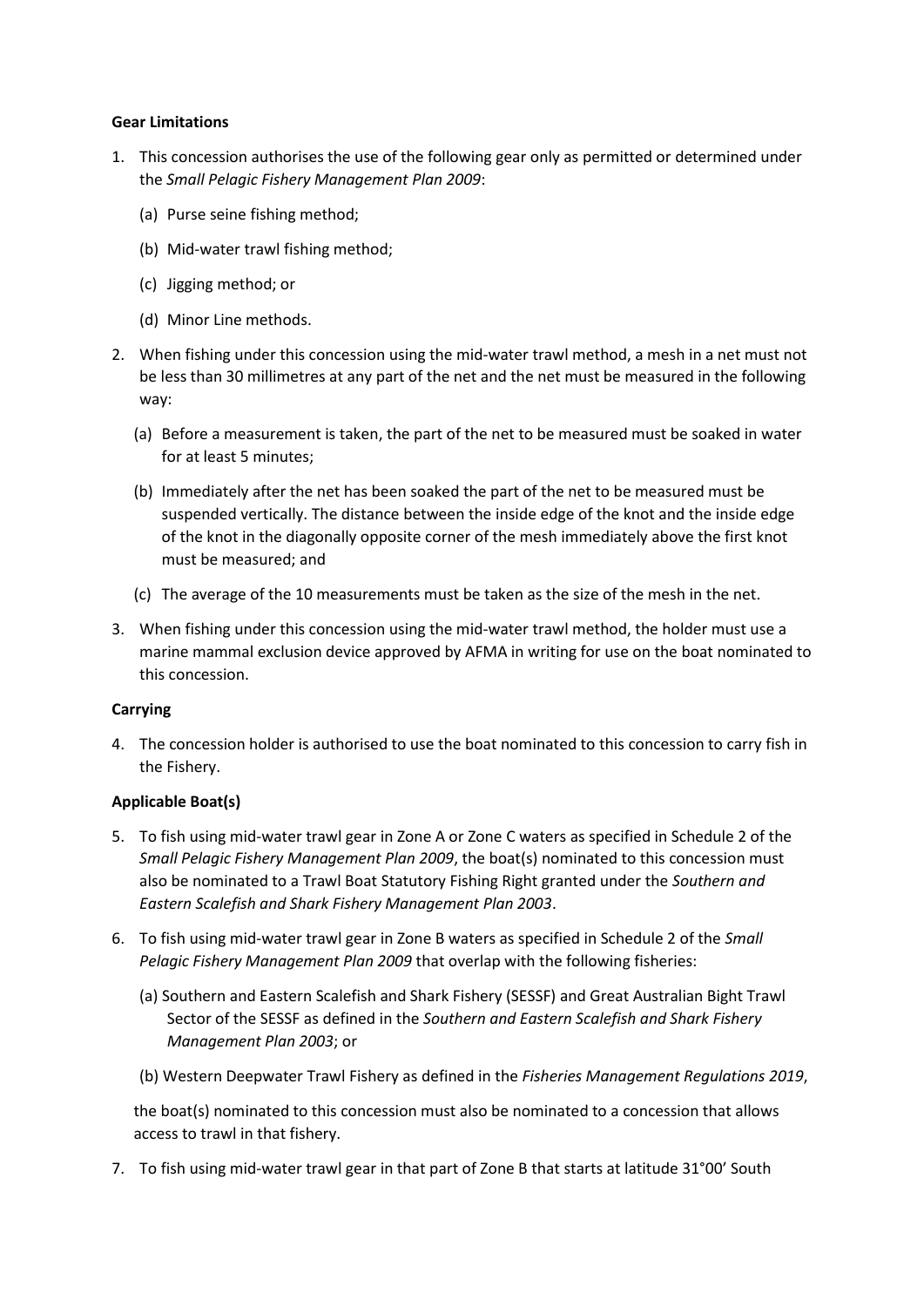### **Gear Limitations**

- 1. This concession authorises the use of the following gear only as permitted or determined under the *Small Pelagic Fishery Management Plan 2009*:
	- (a) Purse seine fishing method;
	- (b) Mid-water trawl fishing method;
	- (c) Jigging method; or
	- (d) Minor Line methods.
- 2. When fishing under this concession using the mid-water trawl method, a mesh in a net must not be less than 30 millimetres at any part of the net and the net must be measured in the following way:
	- (a) Before a measurement is taken, the part of the net to be measured must be soaked in water for at least 5 minutes;
	- (b) Immediately after the net has been soaked the part of the net to be measured must be suspended vertically. The distance between the inside edge of the knot and the inside edge of the knot in the diagonally opposite corner of the mesh immediately above the first knot must be measured; and
	- (c) The average of the 10 measurements must be taken as the size of the mesh in the net.
- 3. When fishing under this concession using the mid-water trawl method, the holder must use a marine mammal exclusion device approved by AFMA in writing for use on the boat nominated to this concession.

### **Carrying**

4. The concession holder is authorised to use the boat nominated to this concession to carry fish in the Fishery.

### **Applicable Boat(s)**

- 5. To fish using mid-water trawl gear in Zone A or Zone C waters as specified in Schedule 2 of the *Small Pelagic Fishery Management Plan 2009*, the boat(s) nominated to this concession must also be nominated to a Trawl Boat Statutory Fishing Right granted under the *Southern and Eastern Scalefish and Shark Fishery Management Plan 2003*.
- 6. To fish using mid-water trawl gear in Zone B waters as specified in Schedule 2 of the *Small Pelagic Fishery Management Plan 2009* that overlap with the following fisheries:
	- (a) Southern and Eastern Scalefish and Shark Fishery (SESSF) and Great Australian Bight Trawl Sector of the SESSF as defined in the *Southern and Eastern Scalefish and Shark Fishery Management Plan 2003*; or
	- (b) Western Deepwater Trawl Fishery as defined in the *Fisheries Management Regulations 2019*,

the boat(s) nominated to this concession must also be nominated to a concession that allows access to trawl in that fishery.

7. To fish using mid-water trawl gear in that part of Zone B that starts at latitude 31°00' South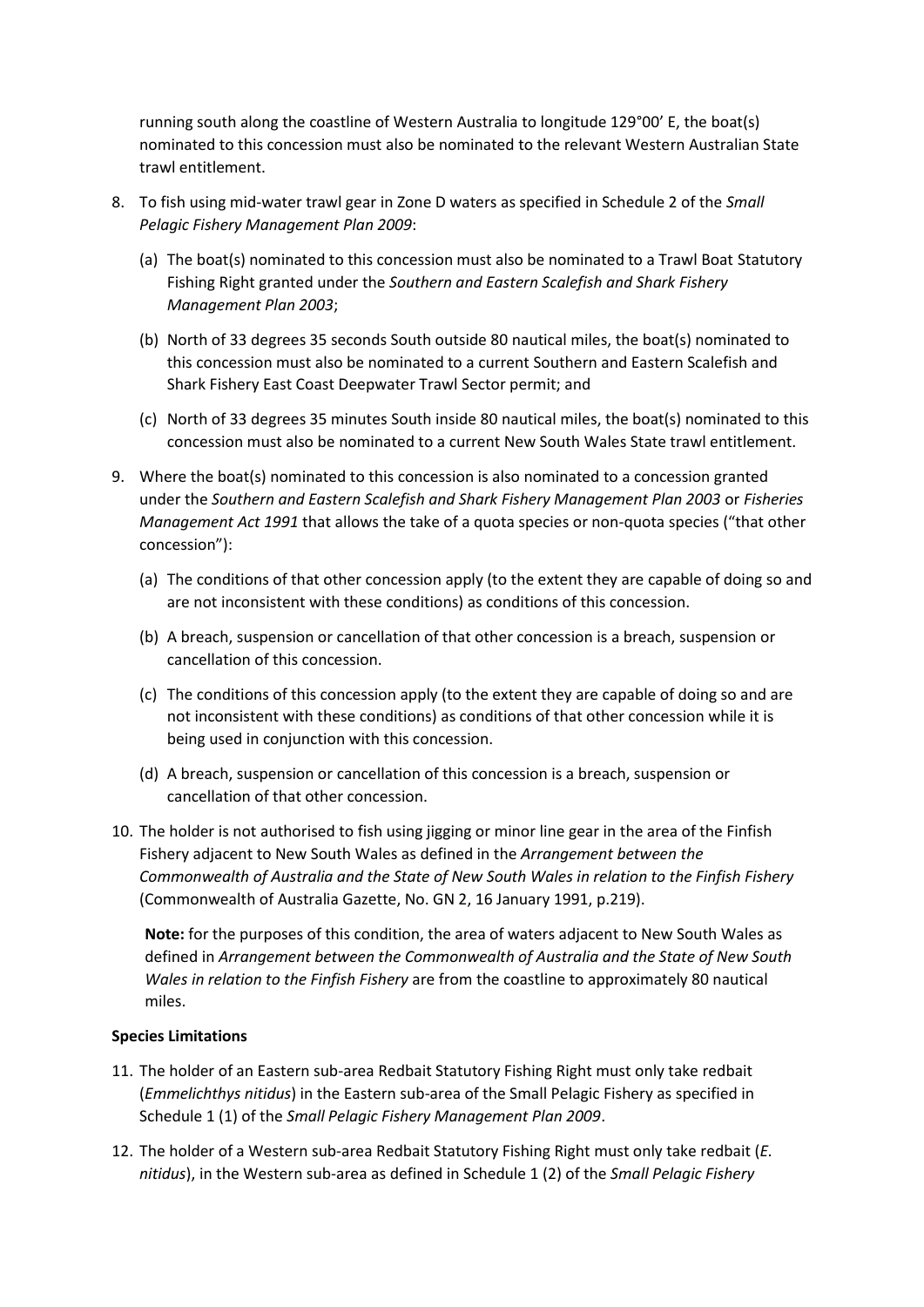running south along the coastline of Western Australia to longitude 129°00' E, the boat(s) nominated to this concession must also be nominated to the relevant Western Australian State trawl entitlement.

- 8. To fish using mid-water trawl gear in Zone D waters as specified in Schedule 2 of the *Small Pelagic Fishery Management Plan 2009*:
	- (a) The boat(s) nominated to this concession must also be nominated to a Trawl Boat Statutory Fishing Right granted under the *Southern and Eastern Scalefish and Shark Fishery Management Plan 2003*;
	- (b) North of 33 degrees 35 seconds South outside 80 nautical miles, the boat(s) nominated to this concession must also be nominated to a current Southern and Eastern Scalefish and Shark Fishery East Coast Deepwater Trawl Sector permit; and
	- (c) North of 33 degrees 35 minutes South inside 80 nautical miles, the boat(s) nominated to this concession must also be nominated to a current New South Wales State trawl entitlement.
- 9. Where the boat(s) nominated to this concession is also nominated to a concession granted under the *Southern and Eastern Scalefish and Shark Fishery Management Plan 2003* or *Fisheries Management Act 1991* that allows the take of a quota species or non-quota species ("that other concession"):
	- (a) The conditions of that other concession apply (to the extent they are capable of doing so and are not inconsistent with these conditions) as conditions of this concession.
	- (b) A breach, suspension or cancellation of that other concession is a breach, suspension or cancellation of this concession.
	- (c) The conditions of this concession apply (to the extent they are capable of doing so and are not inconsistent with these conditions) as conditions of that other concession while it is being used in conjunction with this concession.
	- (d) A breach, suspension or cancellation of this concession is a breach, suspension or cancellation of that other concession.
- 10. The holder is not authorised to fish using jigging or minor line gear in the area of the Finfish Fishery adjacent to New South Wales as defined in the *Arrangement between the Commonwealth of Australia and the State of New South Wales in relation to the Finfish Fishery* (Commonwealth of Australia Gazette, No. GN 2, 16 January 1991, p.219).

**Note:** for the purposes of this condition, the area of waters adjacent to New South Wales as defined in *Arrangement between the Commonwealth of Australia and the State of New South Wales in relation to the Finfish Fishery* are from the coastline to approximately 80 nautical miles.

### **Species Limitations**

- 11. The holder of an Eastern sub-area Redbait Statutory Fishing Right must only take redbait (*Emmelichthys nitidus*) in the Eastern sub-area of the Small Pelagic Fishery as specified in Schedule 1 (1) of the *Small Pelagic Fishery Management Plan 2009*.
- 12. The holder of a Western sub-area Redbait Statutory Fishing Right must only take redbait (*E. nitidus*), in the Western sub-area as defined in Schedule 1 (2) of the *Small Pelagic Fishery*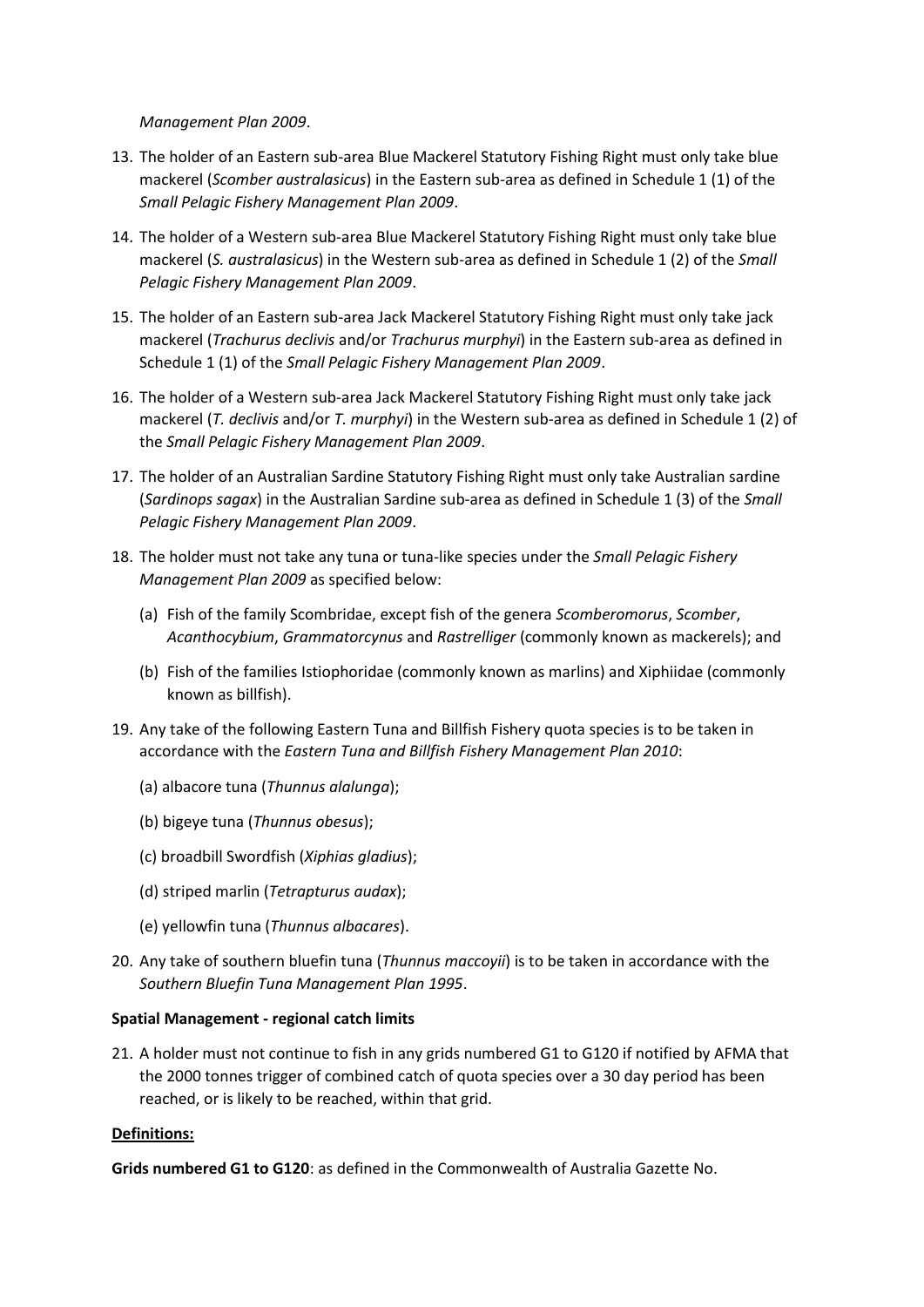*Management Plan 2009*.

- 13. The holder of an Eastern sub-area Blue Mackerel Statutory Fishing Right must only take blue mackerel (*Scomber australasicus*) in the Eastern sub-area as defined in Schedule 1 (1) of the *Small Pelagic Fishery Management Plan 2009*.
- 14. The holder of a Western sub-area Blue Mackerel Statutory Fishing Right must only take blue mackerel (*S. australasicus*) in the Western sub-area as defined in Schedule 1 (2) of the *Small Pelagic Fishery Management Plan 2009*.
- 15. The holder of an Eastern sub-area Jack Mackerel Statutory Fishing Right must only take jack mackerel (*Trachurus declivis* and/or *Trachurus murphyi*) in the Eastern sub-area as defined in Schedule 1 (1) of the *Small Pelagic Fishery Management Plan 2009*.
- 16. The holder of a Western sub-area Jack Mackerel Statutory Fishing Right must only take jack mackerel (*T. declivis* and/or *T. murphyi*) in the Western sub-area as defined in Schedule 1 (2) of the *Small Pelagic Fishery Management Plan 2009*.
- 17. The holder of an Australian Sardine Statutory Fishing Right must only take Australian sardine (*Sardinops sagax*) in the Australian Sardine sub-area as defined in Schedule 1 (3) of the *Small Pelagic Fishery Management Plan 2009*.
- 18. The holder must not take any tuna or tuna-like species under the *Small Pelagic Fishery Management Plan 2009* as specified below:
	- (a) Fish of the family Scombridae, except fish of the genera *Scomberomorus*, *Scomber*, *Acanthocybium*, *Grammatorcynus* and *Rastrelliger* (commonly known as mackerels); and
	- (b) Fish of the families Istiophoridae (commonly known as marlins) and Xiphiidae (commonly known as billfish).
- 19. Any take of the following Eastern Tuna and Billfish Fishery quota species is to be taken in accordance with the *Eastern Tuna and Billfish Fishery Management Plan 2010*:
	- (a) albacore tuna (*Thunnus alalunga*);
	- (b) bigeye tuna (*Thunnus obesus*);
	- (c) broadbill Swordfish (*Xiphias gladius*);
	- (d) striped marlin (*Tetrapturus audax*);
	- (e) yellowfin tuna (*Thunnus albacares*).
- 20. Any take of southern bluefin tuna (*Thunnus maccoyii*) is to be taken in accordance with the *Southern Bluefin Tuna Management Plan 1995*.

### **Spatial Management - regional catch limits**

21. A holder must not continue to fish in any grids numbered G1 to G120 if notified by AFMA that the 2000 tonnes trigger of combined catch of quota species over a 30 day period has been reached, or is likely to be reached, within that grid.

# **Definitions:**

**Grids numbered G1 to G120**: as defined in the Commonwealth of Australia Gazette No.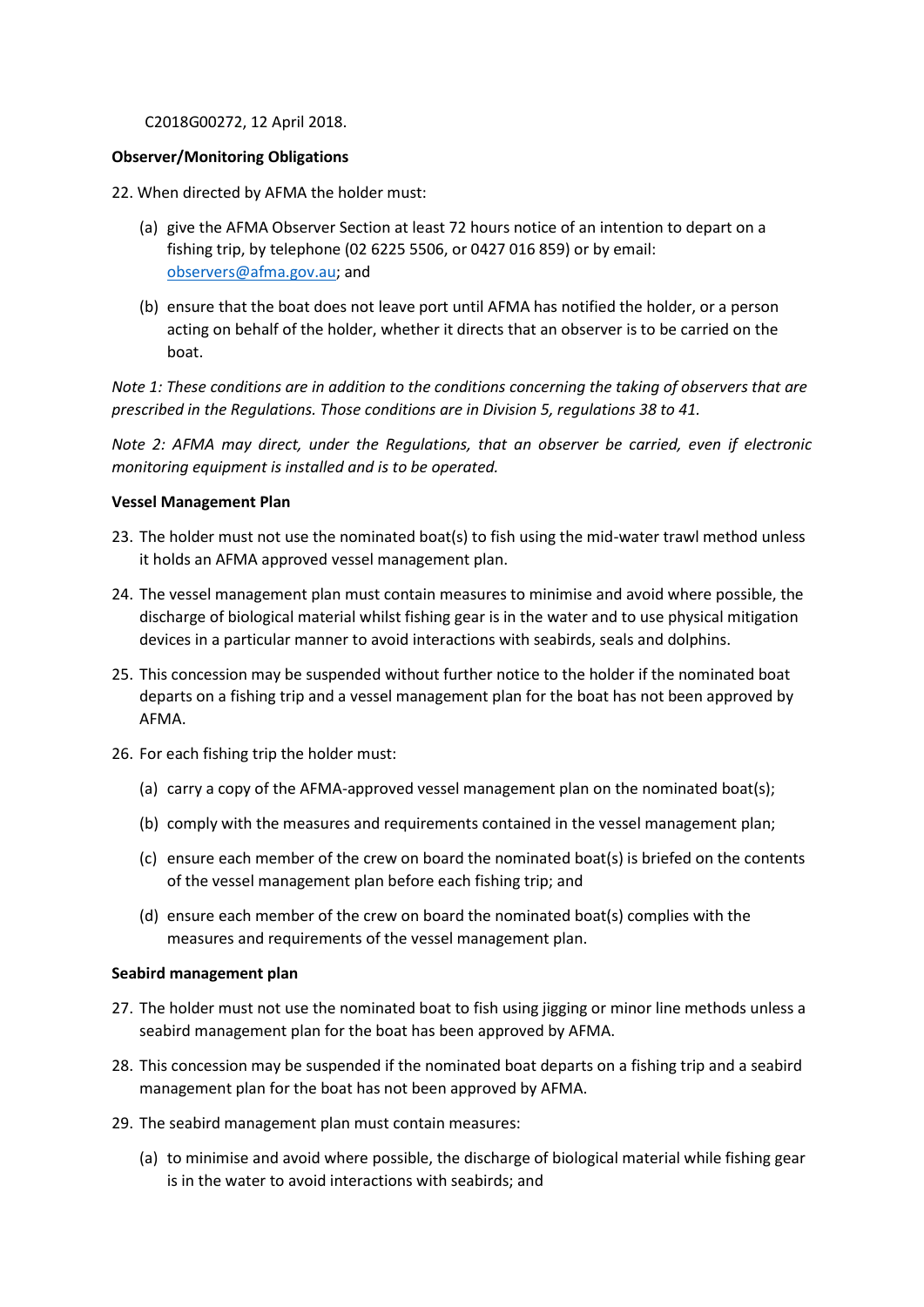#### C2018G00272, 12 April 2018.

### **Observer/Monitoring Obligations**

- 22. When directed by AFMA the holder must:
	- (a) give the AFMA Observer Section at least 72 hours notice of an intention to depart on a fishing trip, by telephone (02 6225 5506, or 0427 016 859) or by email: [observers@afma.gov.au;](mailto:observers@afma.gov.au) and
	- (b) ensure that the boat does not leave port until AFMA has notified the holder, or a person acting on behalf of the holder, whether it directs that an observer is to be carried on the boat.

*Note 1: These conditions are in addition to the conditions concerning the taking of observers that are prescribed in the Regulations. Those conditions are in Division 5, regulations 38 to 41.*

*Note 2: AFMA may direct, under the Regulations, that an observer be carried, even if electronic monitoring equipment is installed and is to be operated.* 

#### **Vessel Management Plan**

- 23. The holder must not use the nominated boat(s) to fish using the mid-water trawl method unless it holds an AFMA approved vessel management plan.
- 24. The vessel management plan must contain measures to minimise and avoid where possible, the discharge of biological material whilst fishing gear is in the water and to use physical mitigation devices in a particular manner to avoid interactions with seabirds, seals and dolphins.
- 25. This concession may be suspended without further notice to the holder if the nominated boat departs on a fishing trip and a vessel management plan for the boat has not been approved by AFMA.
- 26. For each fishing trip the holder must:
	- (a) carry a copy of the AFMA-approved vessel management plan on the nominated boat(s);
	- (b) comply with the measures and requirements contained in the vessel management plan;
	- (c) ensure each member of the crew on board the nominated boat(s) is briefed on the contents of the vessel management plan before each fishing trip; and
	- (d) ensure each member of the crew on board the nominated boat(s) complies with the measures and requirements of the vessel management plan.

#### **Seabird management plan**

- 27. The holder must not use the nominated boat to fish using jigging or minor line methods unless a seabird management plan for the boat has been approved by AFMA.
- 28. This concession may be suspended if the nominated boat departs on a fishing trip and a seabird management plan for the boat has not been approved by AFMA.
- 29. The seabird management plan must contain measures:
	- (a) to minimise and avoid where possible, the discharge of biological material while fishing gear is in the water to avoid interactions with seabirds; and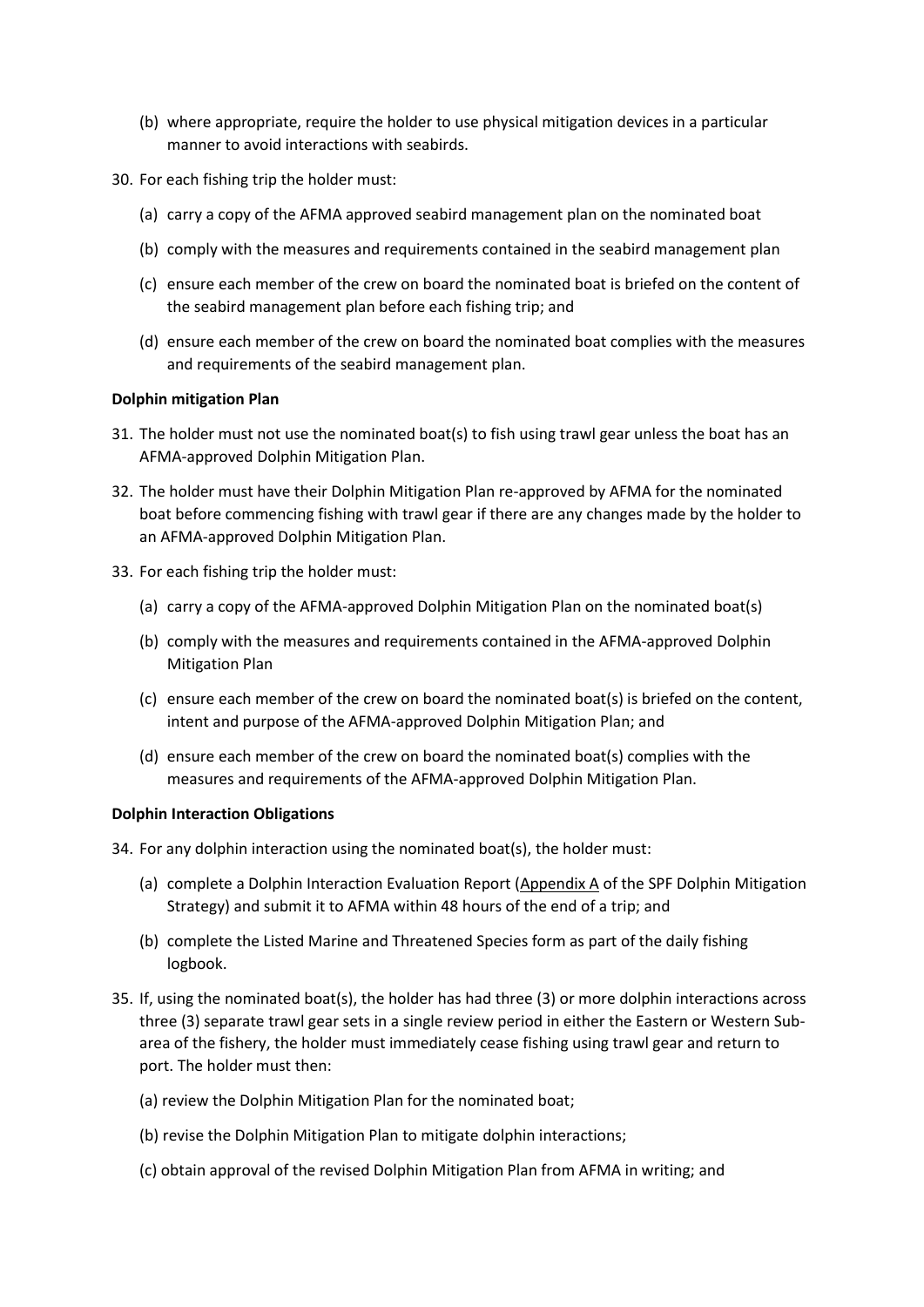- (b) where appropriate, require the holder to use physical mitigation devices in a particular manner to avoid interactions with seabirds.
- 30. For each fishing trip the holder must:
	- (a) carry a copy of the AFMA approved seabird management plan on the nominated boat
	- (b) comply with the measures and requirements contained in the seabird management plan
	- (c) ensure each member of the crew on board the nominated boat is briefed on the content of the seabird management plan before each fishing trip; and
	- (d) ensure each member of the crew on board the nominated boat complies with the measures and requirements of the seabird management plan.

## **Dolphin mitigation Plan**

- 31. The holder must not use the nominated boat(s) to fish using trawl gear unless the boat has an AFMA-approved Dolphin Mitigation Plan.
- 32. The holder must have their Dolphin Mitigation Plan re-approved by AFMA for the nominated boat before commencing fishing with trawl gear if there are any changes made by the holder to an AFMA-approved Dolphin Mitigation Plan.
- 33. For each fishing trip the holder must:
	- (a) carry a copy of the AFMA-approved Dolphin Mitigation Plan on the nominated boat(s)
	- (b) comply with the measures and requirements contained in the AFMA-approved Dolphin Mitigation Plan
	- (c) ensure each member of the crew on board the nominated boat(s) is briefed on the content, intent and purpose of the AFMA-approved Dolphin Mitigation Plan; and
	- (d) ensure each member of the crew on board the nominated boat(s) complies with the measures and requirements of the AFMA-approved Dolphin Mitigation Plan.

### **Dolphin Interaction Obligations**

34. For any dolphin interaction using the nominated boat(s), the holder must:

- (a) complete a Dolphin Interaction Evaluation Report (Appendix A of the SPF Dolphin Mitigation Strategy) and submit it to AFMA within 48 hours of the end of a trip; and
- (b) complete the Listed Marine and Threatened Species form as part of the daily fishing logbook.
- 35. If, using the nominated boat(s), the holder has had three (3) or more dolphin interactions across three (3) separate trawl gear sets in a single review period in either the Eastern or Western Subarea of the fishery, the holder must immediately cease fishing using trawl gear and return to port. The holder must then:
	- (a) review the Dolphin Mitigation Plan for the nominated boat;
	- (b) revise the Dolphin Mitigation Plan to mitigate dolphin interactions;
	- (c) obtain approval of the revised Dolphin Mitigation Plan from AFMA in writing; and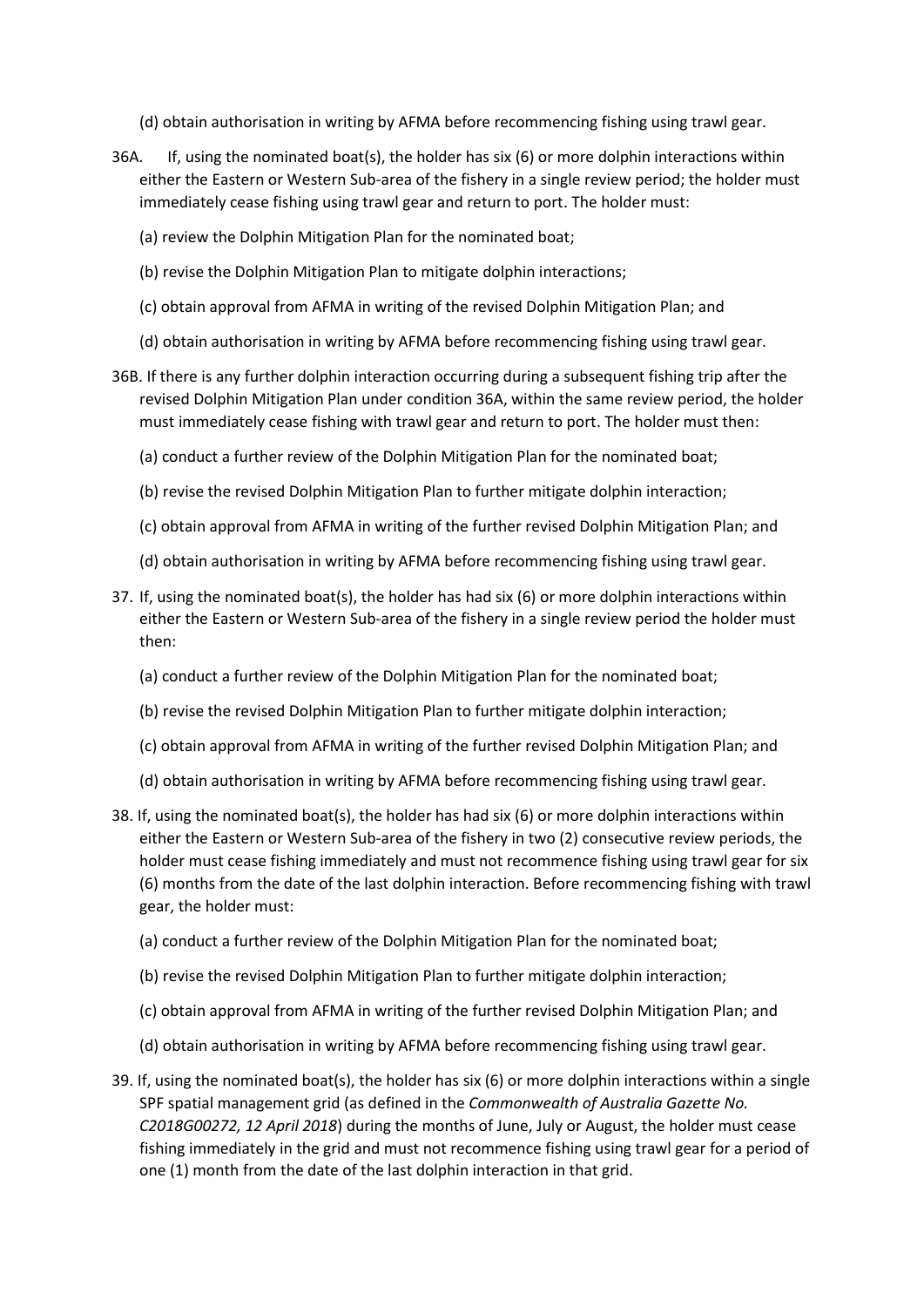- (d) obtain authorisation in writing by AFMA before recommencing fishing using trawl gear.
- 36A. If, using the nominated boat(s), the holder has six (6) or more dolphin interactions within either the Eastern or Western Sub-area of the fishery in a single review period; the holder must immediately cease fishing using trawl gear and return to port. The holder must:
	- (a) review the Dolphin Mitigation Plan for the nominated boat;
	- (b) revise the Dolphin Mitigation Plan to mitigate dolphin interactions;
	- (c) obtain approval from AFMA in writing of the revised Dolphin Mitigation Plan; and
	- (d) obtain authorisation in writing by AFMA before recommencing fishing using trawl gear.
- 36B. If there is any further dolphin interaction occurring during a subsequent fishing trip after the revised Dolphin Mitigation Plan under condition 36A, within the same review period, the holder must immediately cease fishing with trawl gear and return to port. The holder must then:
	- (a) conduct a further review of the Dolphin Mitigation Plan for the nominated boat;
	- (b) revise the revised Dolphin Mitigation Plan to further mitigate dolphin interaction;
	- (c) obtain approval from AFMA in writing of the further revised Dolphin Mitigation Plan; and
	- (d) obtain authorisation in writing by AFMA before recommencing fishing using trawl gear.
- 37. If, using the nominated boat(s), the holder has had six (6) or more dolphin interactions within either the Eastern or Western Sub-area of the fishery in a single review period the holder must then:
	- (a) conduct a further review of the Dolphin Mitigation Plan for the nominated boat;
	- (b) revise the revised Dolphin Mitigation Plan to further mitigate dolphin interaction;
	- (c) obtain approval from AFMA in writing of the further revised Dolphin Mitigation Plan; and
	- (d) obtain authorisation in writing by AFMA before recommencing fishing using trawl gear.
- 38. If, using the nominated boat(s), the holder has had six (6) or more dolphin interactions within either the Eastern or Western Sub-area of the fishery in two (2) consecutive review periods, the holder must cease fishing immediately and must not recommence fishing using trawl gear for six (6) months from the date of the last dolphin interaction. Before recommencing fishing with trawl gear, the holder must:
	- (a) conduct a further review of the Dolphin Mitigation Plan for the nominated boat;
	- (b) revise the revised Dolphin Mitigation Plan to further mitigate dolphin interaction;
	- (c) obtain approval from AFMA in writing of the further revised Dolphin Mitigation Plan; and
	- (d) obtain authorisation in writing by AFMA before recommencing fishing using trawl gear.
- 39. If, using the nominated boat(s), the holder has six (6) or more dolphin interactions within a single SPF spatial management grid (as defined in the *Commonwealth of Australia Gazette No. C2018G00272, 12 April 2018*) during the months of June, July or August, the holder must cease fishing immediately in the grid and must not recommence fishing using trawl gear for a period of one (1) month from the date of the last dolphin interaction in that grid.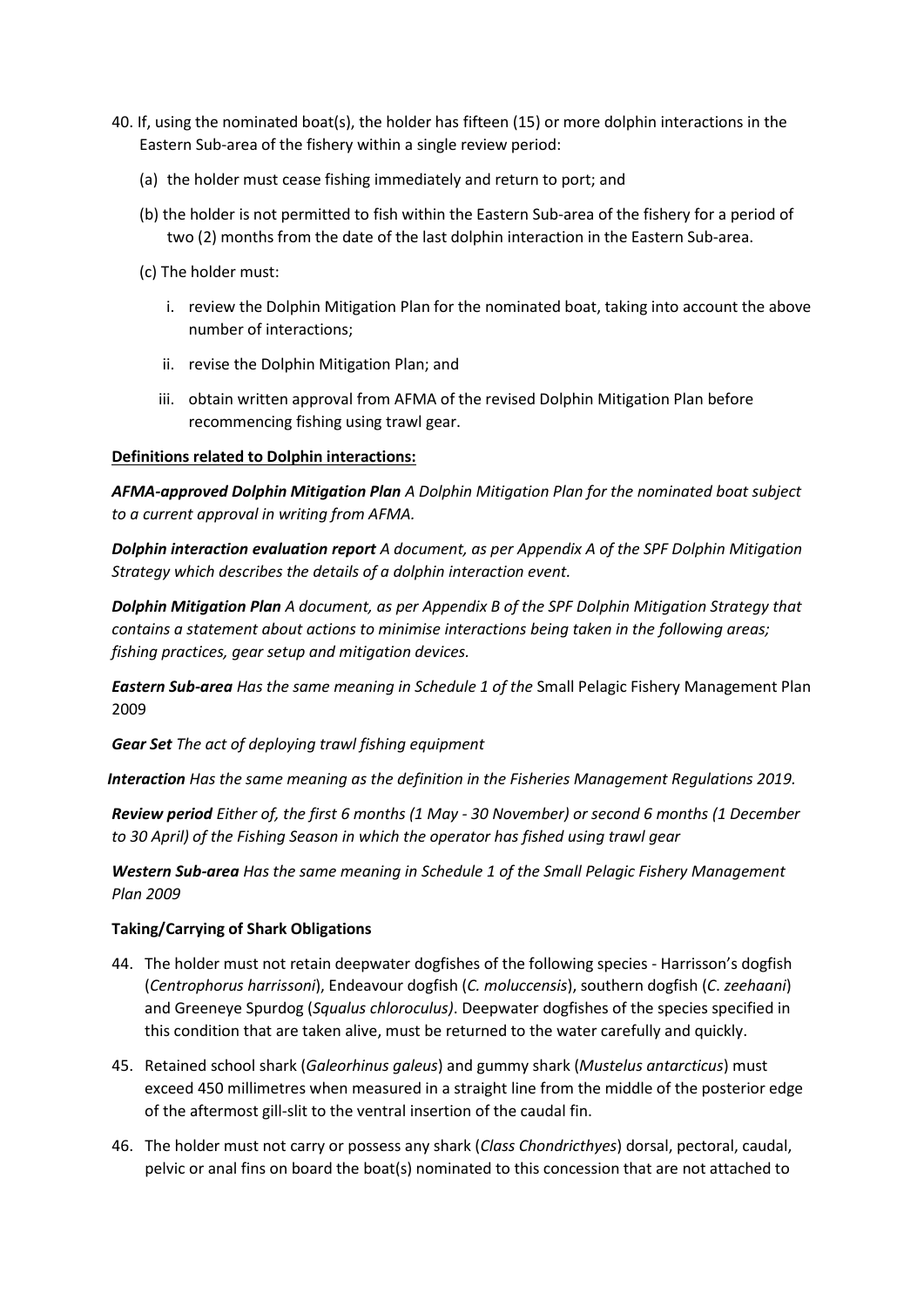- 40. If, using the nominated boat(s), the holder has fifteen (15) or more dolphin interactions in the Eastern Sub-area of the fishery within a single review period:
	- (a) the holder must cease fishing immediately and return to port; and
	- (b) the holder is not permitted to fish within the Eastern Sub-area of the fishery for a period of two (2) months from the date of the last dolphin interaction in the Eastern Sub-area.
	- (c) The holder must:
		- i. review the Dolphin Mitigation Plan for the nominated boat, taking into account the above number of interactions;
		- ii. revise the Dolphin Mitigation Plan; and
		- iii. obtain written approval from AFMA of the revised Dolphin Mitigation Plan before recommencing fishing using trawl gear.

## **Definitions related to Dolphin interactions:**

*AFMA-approved Dolphin Mitigation Plan A Dolphin Mitigation Plan for the nominated boat subject to a current approval in writing from AFMA.* 

*Dolphin interaction evaluation report A document, as per Appendix A of the SPF Dolphin Mitigation Strategy which describes the details of a dolphin interaction event.*

*Dolphin Mitigation Plan A document, as per Appendix B of the SPF Dolphin Mitigation Strategy that contains a statement about actions to minimise interactions being taken in the following areas; fishing practices, gear setup and mitigation devices.*

*Eastern Sub-area Has the same meaning in Schedule 1 of the* Small Pelagic Fishery Management Plan 2009

*Gear Set The act of deploying trawl fishing equipment*

*Interaction Has the same meaning as the definition in the Fisheries Management Regulations 2019.*

*Review period Either of, the first 6 months (1 May - 30 November) or second 6 months (1 December to 30 April) of the Fishing Season in which the operator has fished using trawl gear*

*Western Sub-area Has the same meaning in Schedule 1 of the Small Pelagic Fishery Management Plan 2009*

### **Taking/Carrying of Shark Obligations**

- 44. The holder must not retain deepwater dogfishes of the following species Harrisson's dogfish (*Centrophorus harrissoni*), Endeavour dogfish (*C. moluccensis*), southern dogfish (*C*. *zeehaani*) and Greeneye Spurdog (*Squalus chloroculus)*. Deepwater dogfishes of the species specified in this condition that are taken alive, must be returned to the water carefully and quickly.
- 45. Retained school shark (*Galeorhinus galeus*) and gummy shark (*Mustelus antarcticus*) must exceed 450 millimetres when measured in a straight line from the middle of the posterior edge of the aftermost gill-slit to the ventral insertion of the caudal fin.
- 46. The holder must not carry or possess any shark (*Class Chondricthyes*) dorsal, pectoral, caudal, pelvic or anal fins on board the boat(s) nominated to this concession that are not attached to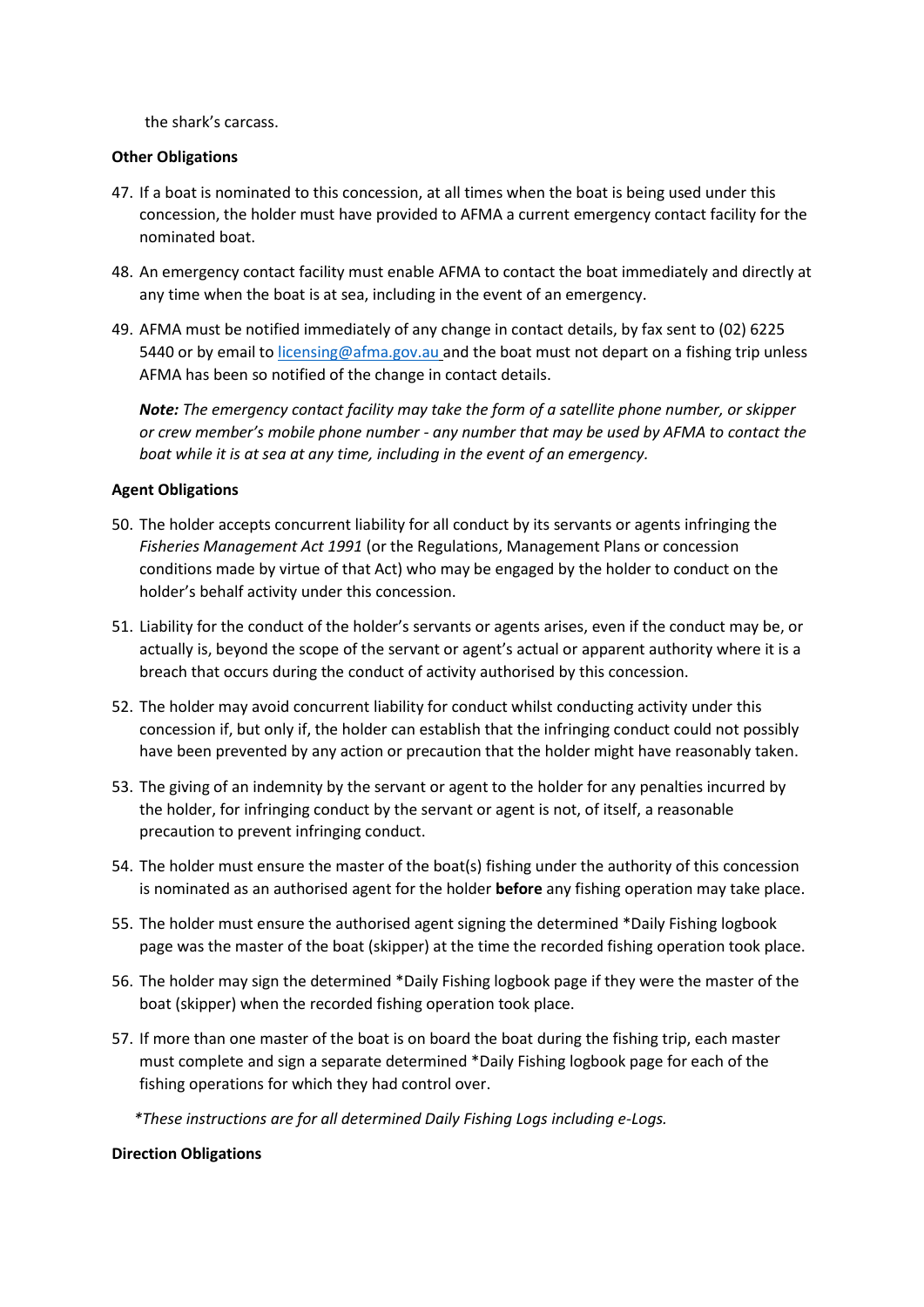the shark's carcass.

### **Other Obligations**

- 47. If a boat is nominated to this concession, at all times when the boat is being used under this concession, the holder must have provided to AFMA a current emergency contact facility for the nominated boat.
- 48. An emergency contact facility must enable AFMA to contact the boat immediately and directly at any time when the boat is at sea, including in the event of an emergency.
- 49. AFMA must be notified immediately of any change in contact details, by fax sent to (02) 6225 5440 or by email to [licensing@afma.gov.au](mailto:licensing@afma.gov.au) and the boat must not depart on a fishing trip unless AFMA has been so notified of the change in contact details.

*Note: The emergency contact facility may take the form of a satellite phone number, or skipper or crew member's mobile phone number - any number that may be used by AFMA to contact the boat while it is at sea at any time, including in the event of an emergency.* 

### **Agent Obligations**

- 50. The holder accepts concurrent liability for all conduct by its servants or agents infringing the *Fisheries Management Act 1991* (or the Regulations, Management Plans or concession conditions made by virtue of that Act) who may be engaged by the holder to conduct on the holder's behalf activity under this concession.
- 51. Liability for the conduct of the holder's servants or agents arises, even if the conduct may be, or actually is, beyond the scope of the servant or agent's actual or apparent authority where it is a breach that occurs during the conduct of activity authorised by this concession.
- 52. The holder may avoid concurrent liability for conduct whilst conducting activity under this concession if, but only if, the holder can establish that the infringing conduct could not possibly have been prevented by any action or precaution that the holder might have reasonably taken.
- 53. The giving of an indemnity by the servant or agent to the holder for any penalties incurred by the holder, for infringing conduct by the servant or agent is not, of itself, a reasonable precaution to prevent infringing conduct.
- 54. The holder must ensure the master of the boat(s) fishing under the authority of this concession is nominated as an authorised agent for the holder **before** any fishing operation may take place.
- 55. The holder must ensure the authorised agent signing the determined \*Daily Fishing logbook page was the master of the boat (skipper) at the time the recorded fishing operation took place.
- 56. The holder may sign the determined \*Daily Fishing logbook page if they were the master of the boat (skipper) when the recorded fishing operation took place.
- 57. If more than one master of the boat is on board the boat during the fishing trip, each master must complete and sign a separate determined \*Daily Fishing logbook page for each of the fishing operations for which they had control over.

*\*These instructions are for all determined Daily Fishing Logs including e-Logs.*

#### **Direction Obligations**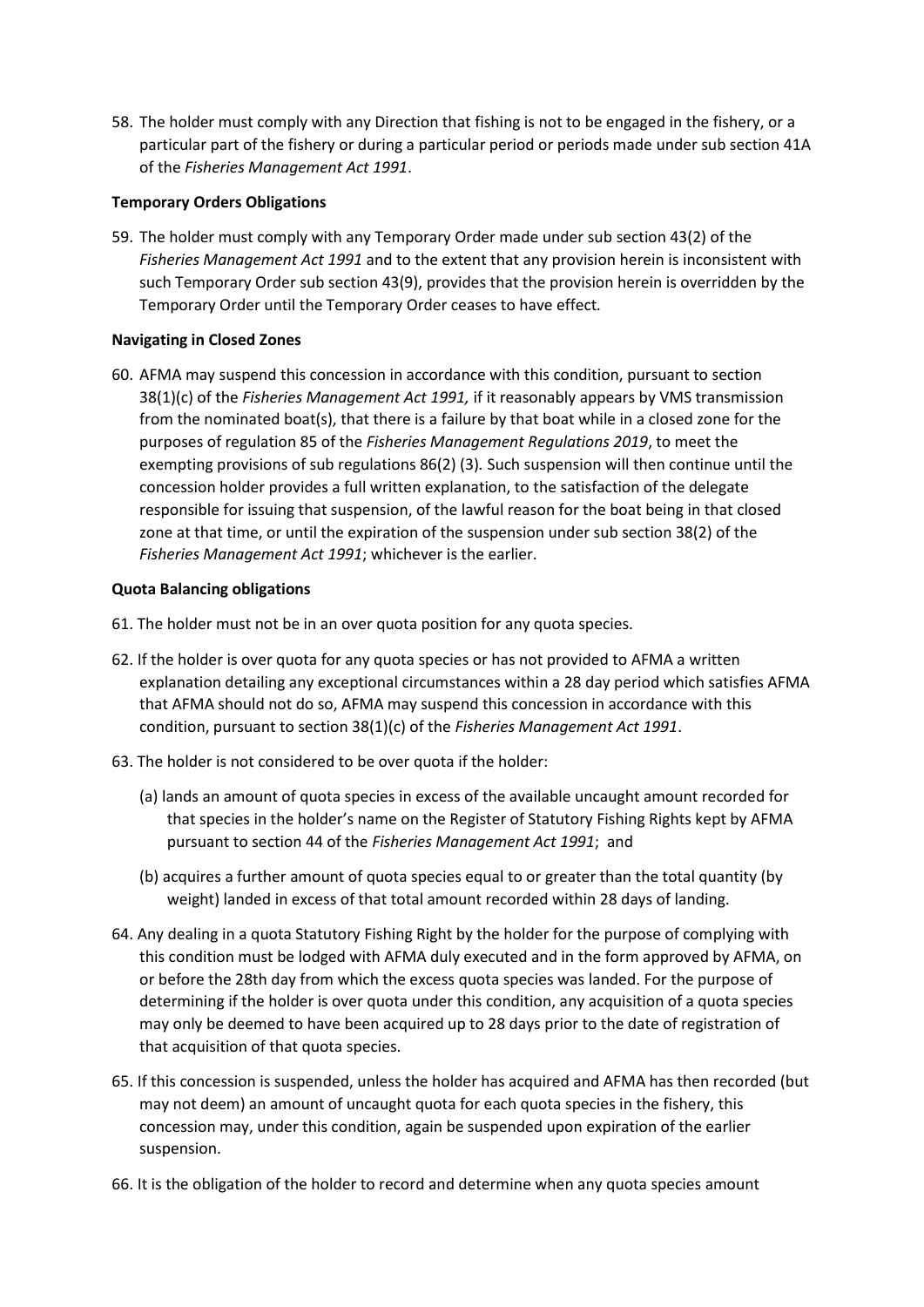58. The holder must comply with any Direction that fishing is not to be engaged in the fishery, or a particular part of the fishery or during a particular period or periods made under sub section 41A of the *Fisheries Management Act 1991*.

### **Temporary Orders Obligations**

59. The holder must comply with any Temporary Order made under sub section 43(2) of the *Fisheries Management Act 1991* and to the extent that any provision herein is inconsistent with such Temporary Order sub section 43(9), provides that the provision herein is overridden by the Temporary Order until the Temporary Order ceases to have effect*.*

## **Navigating in Closed Zones**

60. AFMA may suspend this concession in accordance with this condition, pursuant to section 38(1)(c) of the *Fisheries Management Act 1991,* if it reasonably appears by VMS transmission from the nominated boat(s), that there is a failure by that boat while in a closed zone for the purposes of regulation 85 of the *Fisheries Management Regulations 2019*, to meet the exempting provisions of sub regulations 86(2) (3)*.* Such suspension will then continue until the concession holder provides a full written explanation, to the satisfaction of the delegate responsible for issuing that suspension, of the lawful reason for the boat being in that closed zone at that time, or until the expiration of the suspension under sub section 38(2) of the *Fisheries Management Act 1991*; whichever is the earlier.

## **Quota Balancing obligations**

- 61. The holder must not be in an over quota position for any quota species.
- 62. If the holder is over quota for any quota species or has not provided to AFMA a written explanation detailing any exceptional circumstances within a 28 day period which satisfies AFMA that AFMA should not do so, AFMA may suspend this concession in accordance with this condition, pursuant to section 38(1)(c) of the *Fisheries Management Act 1991*.
- 63. The holder is not considered to be over quota if the holder:
	- (a) lands an amount of quota species in excess of the available uncaught amount recorded for that species in the holder's name on the Register of Statutory Fishing Rights kept by AFMA pursuant to section 44 of the *Fisheries Management Act 1991*; and
	- (b) acquires a further amount of quota species equal to or greater than the total quantity (by weight) landed in excess of that total amount recorded within 28 days of landing.
- 64. Any dealing in a quota Statutory Fishing Right by the holder for the purpose of complying with this condition must be lodged with AFMA duly executed and in the form approved by AFMA, on or before the 28th day from which the excess quota species was landed. For the purpose of determining if the holder is over quota under this condition, any acquisition of a quota species may only be deemed to have been acquired up to 28 days prior to the date of registration of that acquisition of that quota species.
- 65. If this concession is suspended, unless the holder has acquired and AFMA has then recorded (but may not deem) an amount of uncaught quota for each quota species in the fishery, this concession may, under this condition, again be suspended upon expiration of the earlier suspension.
- 66. It is the obligation of the holder to record and determine when any quota species amount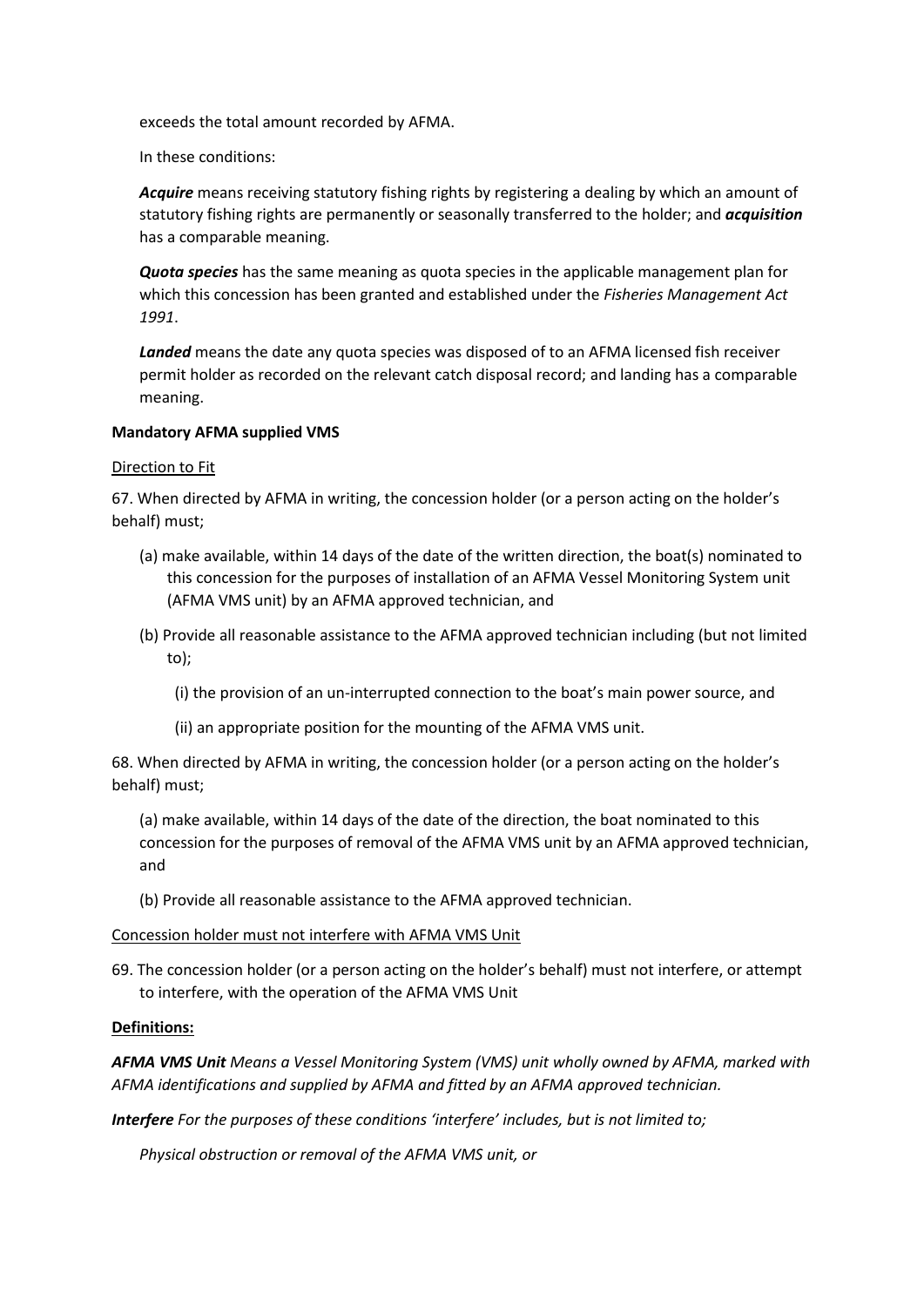exceeds the total amount recorded by AFMA.

In these conditions:

*Acquire* means receiving statutory fishing rights by registering a dealing by which an amount of statutory fishing rights are permanently or seasonally transferred to the holder; and *acquisition*  has a comparable meaning.

*Quota species* has the same meaning as quota species in the applicable management plan for which this concession has been granted and established under the *Fisheries Management Act 1991*.

*Landed* means the date any quota species was disposed of to an AFMA licensed fish receiver permit holder as recorded on the relevant catch disposal record; and landing has a comparable meaning.

## **Mandatory AFMA supplied VMS**

## Direction to Fit

67. When directed by AFMA in writing, the concession holder (or a person acting on the holder's behalf) must;

- (a) make available, within 14 days of the date of the written direction, the boat(s) nominated to this concession for the purposes of installation of an AFMA Vessel Monitoring System unit (AFMA VMS unit) by an AFMA approved technician, and
- (b) Provide all reasonable assistance to the AFMA approved technician including (but not limited to);
	- (i) the provision of an un-interrupted connection to the boat's main power source, and
	- (ii) an appropriate position for the mounting of the AFMA VMS unit.

68. When directed by AFMA in writing, the concession holder (or a person acting on the holder's behalf) must;

(a) make available, within 14 days of the date of the direction, the boat nominated to this concession for the purposes of removal of the AFMA VMS unit by an AFMA approved technician, and

(b) Provide all reasonable assistance to the AFMA approved technician.

### Concession holder must not interfere with AFMA VMS Unit

69. The concession holder (or a person acting on the holder's behalf) must not interfere, or attempt to interfere, with the operation of the AFMA VMS Unit

# **Definitions:**

*AFMA VMS Unit Means a Vessel Monitoring System (VMS) unit wholly owned by AFMA, marked with AFMA identifications and supplied by AFMA and fitted by an AFMA approved technician.*

*Interfere For the purposes of these conditions 'interfere' includes, but is not limited to;*

*Physical obstruction or removal of the AFMA VMS unit, or*